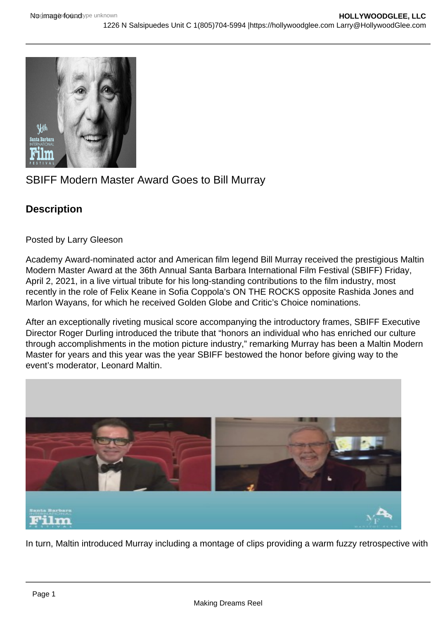## SBIFF Modern Master Award Goes to Bill Murray

**Description** 

Posted by Larry Gleeson

Academy Award-nominated actor and American film legend Bill Murray received the prestigious Maltin Modern Master Award at the 36th Annual Santa Barbara International Film Festival (SBIFF) Friday, April 2, 2021, in a live virtual tribute for his long-standing contributions to the film industry, most recently in the role of Felix Keane in Sofia Coppola's ON THE ROCKS opposite Rashida Jones and Marlon Wayans, for which he received Golden Globe and Critic's Choice nominations.

After an exceptionally riveting musical score accompanying the introductory frames, SBIFF Executive Director Roger Durling introduced the tribute that "honors an individual who has enriched our culture through accomplishments in the motion picture industry," remarking Murray has been a Maltin Modern Master for years and this year was the year SBIFF bestowed the honor before giving way to the event's moderator, Leonard Maltin.

In turn, Maltin introduced Murray including a montage of clips providing a warm fuzzy retrospective with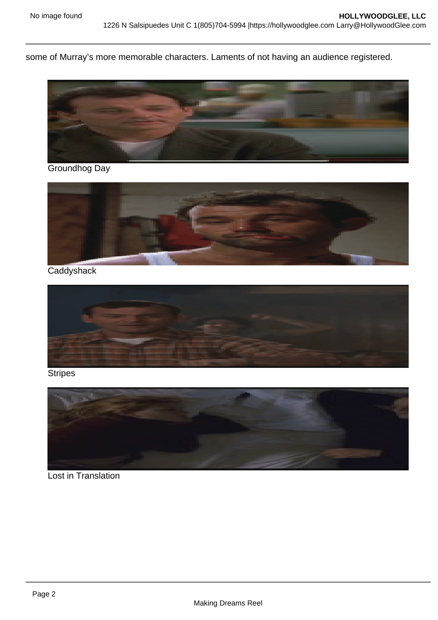some of Murray's more memorable characters. Laments of not having an audience registered.

Groundhog Day

**Caddyshack** 

**Stripes** 

Lost in Translation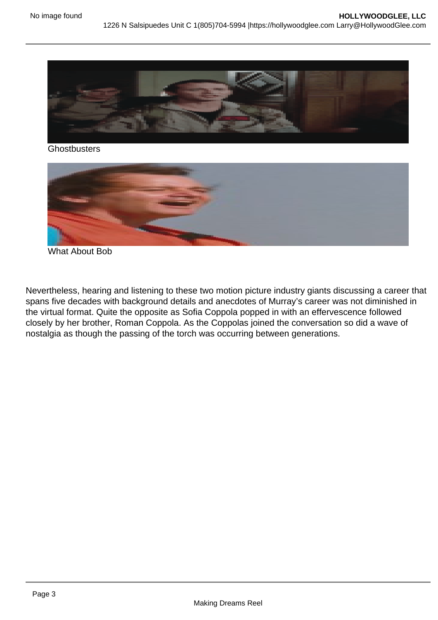**Ghostbusters** 

What About Bob

Nevertheless, hearing and listening to these two motion picture industry giants discussing a career that spans five decades with background details and anecdotes of Murray's career was not diminished in the virtual format. Quite the opposite as Sofia Coppola popped in with an effervescence followed closely by her brother, Roman Coppola. As the Coppolas joined the conversation so did a wave of nostalgia as though the passing of the torch was occurring between generations.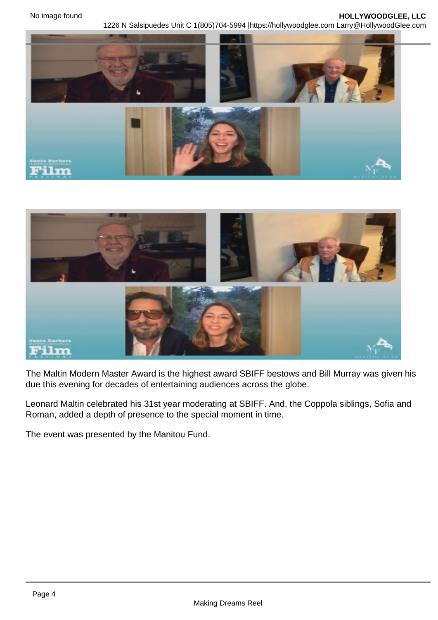The Maltin Modern Master Award is the highest award SBIFF bestows and Bill Murray was given his due this evening for decades of entertaining audiences across the globe.

Leonard Maltin celebrated his 31st year moderating at SBIFF. And, the Coppola siblings, Sofia and Roman, added a depth of presence to the special moment in time.

The event was presented by the Manitou Fund.